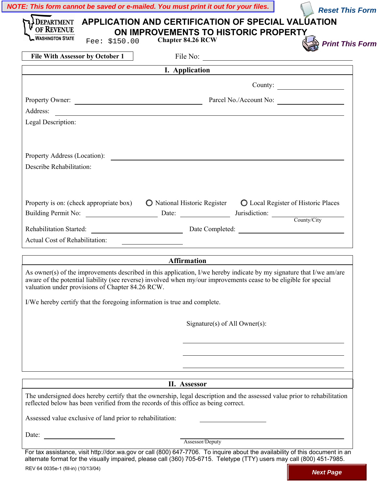| DEPARTMENT APPLICATION AND CERTIFICATION OF SPECIAL VALUATION<br>OF REVENUE<br><b>WASHINGTON STATE</b><br>Fee: \$150.00                                                                                                                                                                       | ON IMPROVEMENTS TO HISTORIC PROPERTY<br><b>Chapter 84.26 RCW</b> |                               | <b>Print This Form</b>                                |
|-----------------------------------------------------------------------------------------------------------------------------------------------------------------------------------------------------------------------------------------------------------------------------------------------|------------------------------------------------------------------|-------------------------------|-------------------------------------------------------|
|                                                                                                                                                                                                                                                                                               |                                                                  |                               |                                                       |
|                                                                                                                                                                                                                                                                                               | I. Application                                                   |                               |                                                       |
|                                                                                                                                                                                                                                                                                               |                                                                  |                               | County:                                               |
|                                                                                                                                                                                                                                                                                               | Property Owner: Property Owner: Parcel No./Account No:           |                               |                                                       |
| Address:                                                                                                                                                                                                                                                                                      |                                                                  |                               |                                                       |
| Legal Description:                                                                                                                                                                                                                                                                            |                                                                  |                               |                                                       |
|                                                                                                                                                                                                                                                                                               |                                                                  |                               |                                                       |
| Property Address (Location):                                                                                                                                                                                                                                                                  |                                                                  |                               |                                                       |
| Describe Rehabilitation:                                                                                                                                                                                                                                                                      |                                                                  |                               |                                                       |
|                                                                                                                                                                                                                                                                                               |                                                                  |                               |                                                       |
|                                                                                                                                                                                                                                                                                               |                                                                  |                               |                                                       |
| Property is on: (check appropriate box) $\bigcirc$ National Historic Register $\bigcirc$ Local Register of Historic Places                                                                                                                                                                    |                                                                  |                               |                                                       |
| Building Permit No: Date: Date: Jurisdiction: County/City                                                                                                                                                                                                                                     |                                                                  |                               |                                                       |
| Rehabilitation Started: Date Completed: Date Completed:                                                                                                                                                                                                                                       |                                                                  |                               |                                                       |
| Actual Cost of Rehabilitation:                                                                                                                                                                                                                                                                |                                                                  |                               | <u> 1989 - Johann Stein, fransk politik (f. 1989)</u> |
|                                                                                                                                                                                                                                                                                               | <b>Affirmation</b>                                               |                               |                                                       |
| As owner(s) of the improvements described in this application, I/we hereby indicate by my signature that I/we am/are<br>aware of the potential liability (see reverse) involved when my/our improvements cease to be eligible for special<br>valuation under provisions of Chapter 84.26 RCW. |                                                                  |                               |                                                       |
| I/We hereby certify that the foregoing information is true and complete.                                                                                                                                                                                                                      |                                                                  |                               |                                                       |
|                                                                                                                                                                                                                                                                                               |                                                                  |                               |                                                       |
|                                                                                                                                                                                                                                                                                               |                                                                  | Signature(s) of All Owner(s): |                                                       |
|                                                                                                                                                                                                                                                                                               |                                                                  |                               |                                                       |
|                                                                                                                                                                                                                                                                                               |                                                                  |                               |                                                       |
|                                                                                                                                                                                                                                                                                               |                                                                  |                               |                                                       |
|                                                                                                                                                                                                                                                                                               | II. Assessor                                                     |                               |                                                       |
| The undersigned does hereby certify that the ownership, legal description and the assessed value prior to rehabilitation<br>reflected below has been verified from the records of this office as being correct.                                                                               |                                                                  |                               |                                                       |
| Assessed value exclusive of land prior to rehabilitation:                                                                                                                                                                                                                                     |                                                                  |                               |                                                       |
| Date:                                                                                                                                                                                                                                                                                         |                                                                  |                               |                                                       |
|                                                                                                                                                                                                                                                                                               | Assessor/Deputy                                                  |                               |                                                       |
| For tax assistance, visit http://dor.wa.gov or call (800) 647-7706. To inquire about the availability of this document in an<br>alternate format for the visually impaired, please call (360) 705-6715. Teletype (TTY) users may call (800) 451-7985.                                         |                                                                  |                               |                                                       |